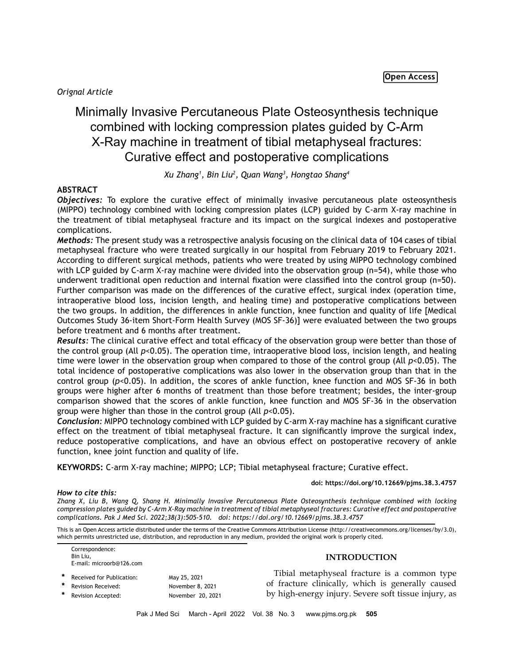*Orignal Article*

# Minimally Invasive Percutaneous Plate Osteosynthesis technique combined with locking compression plates guided by C-Arm X-Ray machine in treatment of tibial metaphyseal fractures: Curative effect and postoperative complications

*Xu Zhang1 , Bin Liu2 , Quan Wang3 , Hongtao Shang4*

# **ABSTRACT**

*Objectives:* To explore the curative effect of minimally invasive percutaneous plate osteosynthesis (MIPPO) technology combined with locking compression plates (LCP) guided by C-arm X-ray machine in the treatment of tibial metaphyseal fracture and its impact on the surgical indexes and postoperative complications.

*Methods:* The present study was a retrospective analysis focusing on the clinical data of 104 cases of tibial metaphyseal fracture who were treated surgically in our hospital from February 2019 to February 2021. According to different surgical methods, patients who were treated by using MIPPO technology combined with LCP guided by C-arm X-ray machine were divided into the observation group (n=54), while those who underwent traditional open reduction and internal fixation were classified into the control group (n=50). Further comparison was made on the differences of the curative effect, surgical index (operation time, intraoperative blood loss, incision length, and healing time) and postoperative complications between the two groups. In addition, the differences in ankle function, knee function and quality of life [Medical Outcomes Study 36-item Short-Form Health Survey (MOS SF-36)] were evaluated between the two groups before treatment and 6 months after treatment.

*Results:* The clinical curative effect and total efficacy of the observation group were better than those of the control group (All *p*<0.05). The operation time, intraoperative blood loss, incision length, and healing time were lower in the observation group when compared to those of the control group (All *p*<0.05). The total incidence of postoperative complications was also lower in the observation group than that in the control group (*p*<0.05). In addition, the scores of ankle function, knee function and MOS SF-36 in both groups were higher after 6 months of treatment than those before treatment; besides, the inter-group comparison showed that the scores of ankle function, knee function and MOS SF-36 in the observation group were higher than those in the control group (All *p*<0.05).

*Conclusion:* MIPPO technology combined with LCP guided by C-arm X-ray machine has a significant curative effect on the treatment of tibial metaphyseal fracture. It can significantly improve the surgical index, reduce postoperative complications, and have an obvious effect on postoperative recovery of ankle function, knee joint function and quality of life.

**KEYWORDS:** C-arm X-ray machine; MIPPO; LCP; Tibial metaphyseal fracture; Curative effect.

## **doi: https://doi.org/10.12669/pjms.38.3.4757**

*How to cite this:*

*Zhang X, Liu B, Wang Q, Shang H. Minimally Invasive Percutaneous Plate Osteosynthesis technique combined with locking compression plates guided by C-Arm X-Ray machine in treatment of tibial metaphyseal fractures: Curative effect and postoperative complications. Pak J Med Sci. 2022;38(3):505-510. doi: https://doi.org/10.12669/pjms.38.3.4757*

This is an Open Access article distributed under the terms of the Creative Commons Attribution License (http://creativecommons.org/licenses/by/3.0), which permits unrestricted use, distribution, and reproduction in any medium, provided the original work is properly cited.

Correspondence: Bin Liu, E-mail: microorb@126.com Received for Publication: May 25, 2021

**Revision Received:** November 8, 2021 Revision Accepted: November 20, 2021

# **INTRODUCTION**

Tibial metaphyseal fracture is a common type of fracture clinically, which is generally caused by high-energy injury. Severe soft tissue injury, as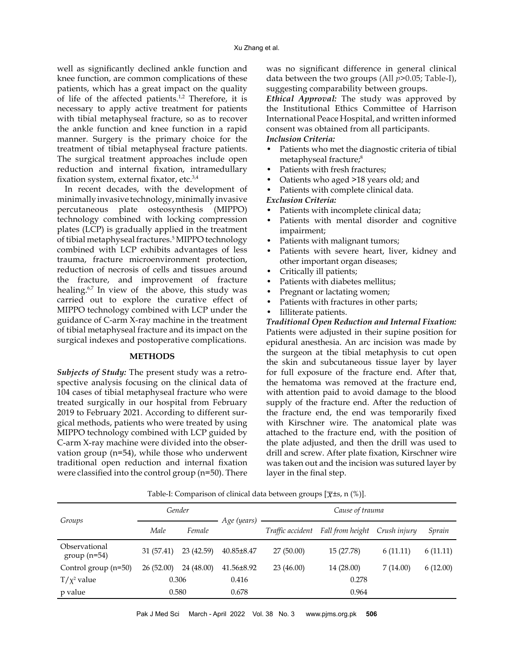well as significantly declined ankle function and knee function, are common complications of these patients, which has a great impact on the quality of life of the affected patients.<sup>1,2</sup> Therefore, it is necessary to apply active treatment for patients with tibial metaphyseal fracture, so as to recover the ankle function and knee function in a rapid manner. Surgery is the primary choice for the treatment of tibial metaphyseal fracture patients. The surgical treatment approaches include open reduction and internal fixation, intramedullary fixation system, external fixator, etc.3,4

In recent decades, with the development of minimally invasive technology, minimally invasive percutaneous plate osteosynthesis (MIPPO) technology combined with locking compression plates (LCP) is gradually applied in the treatment of tibial metaphyseal fractures.5 MIPPO technology combined with LCP exhibits advantages of less trauma, fracture microenvironment protection, reduction of necrosis of cells and tissues around the fracture, and improvement of fracture healing.<sup>6,7</sup> In view of the above, this study was carried out to explore the curative effect of MIPPO technology combined with LCP under the guidance of C-arm X-ray machine in the treatment of tibial metaphyseal fracture and its impact on the surgical indexes and postoperative complications.

#### **METHODS**

*Subjects of Study:* The present study was a retrospective analysis focusing on the clinical data of 104 cases of tibial metaphyseal fracture who were treated surgically in our hospital from February 2019 to February 2021. According to different surgical methods, patients who were treated by using MIPPO technology combined with LCP guided by C-arm X-ray machine were divided into the observation group (n=54), while those who underwent traditional open reduction and internal fixation were classified into the control group (n=50). There

was no significant difference in general clinical data between the two groups (All *p*>0.05; Table-I), suggesting comparability between groups.

*Ethical Approval:* The study was approved by the Institutional Ethics Committee of Harrison International Peace Hospital, and written informed consent was obtained from all participants. *Inclusion Criteria:*

- Patients who met the diagnostic criteria of tibial metaphyseal fracture;<sup>8</sup>
- Patients with fresh fractures;
- Oatients who aged >18 years old; and
- Patients with complete clinical data.

## *Exclusion Criteria:*

- Patients with incomplete clinical data;
- Patients with mental disorder and cognitive impairment;
- Patients with malignant tumors;
- Patients with severe heart, liver, kidney and other important organ diseases;
- Critically ill patients;
- Patients with diabetes mellitus;
- Pregnant or lactating women;
- Patients with fractures in other parts;
- Iilliterate patients.

*Traditional Open Reduction and Internal Fixation:* Patients were adjusted in their supine position for epidural anesthesia. An arc incision was made by the surgeon at the tibial metaphysis to cut open the skin and subcutaneous tissue layer by layer for full exposure of the fracture end. After that, the hematoma was removed at the fracture end, with attention paid to avoid damage to the blood supply of the fracture end. After the reduction of the fracture end, the end was temporarily fixed with Kirschner wire. The anatomical plate was attached to the fracture end, with the position of the plate adjusted, and then the drill was used to drill and screw. After plate fixation, Kirschner wire was taken out and the incision was sutured layer by layer in the final step.

| Groups                         | Gender    |            | Age (years)      | Cause of trauma  |                               |          |          |  |
|--------------------------------|-----------|------------|------------------|------------------|-------------------------------|----------|----------|--|
|                                | Male      | Female     |                  | Traffic accident | Fall from height Crush injury |          | Sprain   |  |
| Observational<br>$group(n=54)$ | 31(57.41) | 23(42.59)  | $40.85 \pm 8.47$ | 27(50.00)        | 15(27.78)                     | 6(11.11) | 6(11.11) |  |
| Control group (n=50)           | 26(52.00) | 24 (48.00) | 41.56±8.92       | 23(46.00)        | 14 (28.00)                    | 7(14.00) | 6(12.00) |  |
| $T/\chi^2$ value               | 0.306     |            | 0.416            |                  | 0.278                         |          |          |  |
| p value                        |           | 0.580      | 0.678            |                  | 0.964                         |          |          |  |

Table-I: Comparison of clinical data between groups  $[\overline{\chi} \pm s, n (\%)]$ .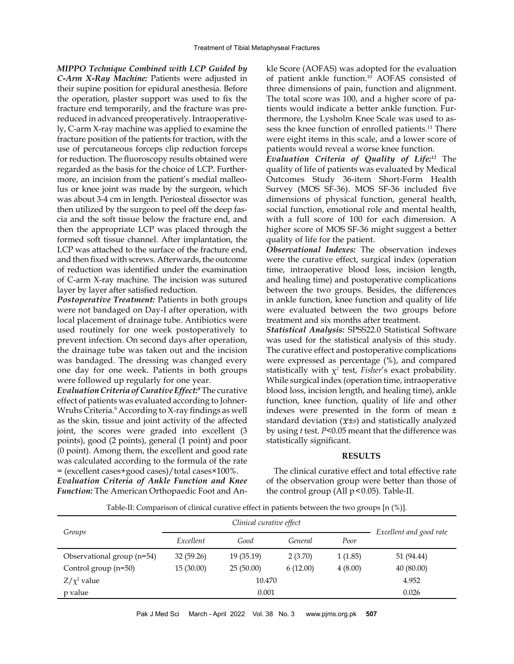*MIPPO Technique Combined with LCP Guided by C-Arm X-Ray Machine:* Patients were adjusted in their supine position for epidural anesthesia. Before the operation, plaster support was used to fix the fracture end temporarily, and the fracture was prereduced in advanced preoperatively. Intraoperatively, C-arm X-ray machine was applied to examine the fracture position of the patients for traction, with the use of percutaneous forceps clip reduction forceps for reduction. The fluoroscopy results obtained were regarded as the basis for the choice of LCP. Furthermore, an incision from the patient's medial malleolus or knee joint was made by the surgeon, which was about 3-4 cm in length. Periosteal dissector was then utilized by the surgeon to peel off the deep fascia and the soft tissue below the fracture end, and then the appropriate LCP was placed through the formed soft tissue channel. After implantation, the LCP was attached to the surface of the fracture end, and then fixed with screws. Afterwards, the outcome of reduction was identified under the examination of C-arm X-ray machine. The incision was sutured layer by layer after satisfied reduction.

*Postoperative Treatment:* Patients in both groups were not bandaged on Day-I after operation, with local placement of drainage tube. Antibiotics were used routinely for one week postoperatively to prevent infection. On second days after operation, the drainage tube was taken out and the incision was bandaged. The dressing was changed every one day for one week. Patients in both groups were followed up regularly for one year.

*Evaluation Criteria of Curative Effect:9* The curative effect of patients was evaluated according to Johner-Wruhs Criteria.<sup>9</sup> According to X-ray findings as well as the skin, tissue and joint activity of the affected joint, the scores were graded into excellent (3 points), good (2 points), general (1 point) and poor (0 point). Among them, the excellent and good rate was calculated according to the formula of the rate = (excellent cases+good cases)/total cases×100%. *Evaluation Criteria of Ankle Function and Knee Function:* The American Orthopaedic Foot and Ankle Score (AOFAS) was adopted for the evaluation of patient ankle function.10 AOFAS consisted of three dimensions of pain, function and alignment. The total score was 100, and a higher score of patients would indicate a better ankle function. Furthermore, the Lysholm Knee Scale was used to assess the knee function of enrolled patients.<sup>11</sup> There were eight items in this scale, and a lower score of patients would reveal a worse knee function.

*Evaluation Criteria of Quality of Life:12* The quality of life of patients was evaluated by Medical Outcomes Study 36-item Short-Form Health Survey (MOS SF-36). MOS SF-36 included five dimensions of physical function, general health, social function, emotional role and mental health, with a full score of 100 for each dimension. A higher score of MOS SF-36 might suggest a better quality of life for the patient.

*Observational Indexes:* The observation indexes were the curative effect, surgical index (operation time, intraoperative blood loss, incision length, and healing time) and postoperative complications between the two groups. Besides, the differences in ankle function, knee function and quality of life were evaluated between the two groups before treatment and six months after treatment.

*Statistical Analysis:* SPSS22.0 Statistical Software was used for the statistical analysis of this study. The curative effect and postoperative complications were expressed as percentage (%), and compared statistically with χ*<sup>2</sup>* test, *Fisher*'s exact probability. While surgical index (operation time, intraoperative blood loss, incision length, and healing time), ankle function, knee function, quality of life and other indexes were presented in the form of mean ± standard deviation  $(\overline{x} \pm s)$  and statistically analyzed by using *t* test. *P*<0.05 meant that the difference was statistically significant.

## **RESULTS**

The clinical curative effect and total effective rate of the observation group were better than those of the control group (All  $p < 0.05$ ). Table-II.

Table-II: Comparison of clinical curative effect in patients between the two groups [n (%)].

| Groups                       |                   |            |          |         |                         |  |
|------------------------------|-------------------|------------|----------|---------|-------------------------|--|
|                              | Excellent<br>Good |            | General  | Poor    | Excellent and good rate |  |
| Observational group $(n=54)$ | 32(59.26)         | 19 (35.19) | 2(3.70)  | 1(1.85) | 51 (94.44)              |  |
| Control group (n=50)         | 15(30.00)         | 25(50.00)  | 6(12.00) | 4(8.00) | 40 (80.00)              |  |
| $Z/\chi^2$ value             |                   | 4.952      |          |         |                         |  |
| p value                      |                   | 0.026      |          |         |                         |  |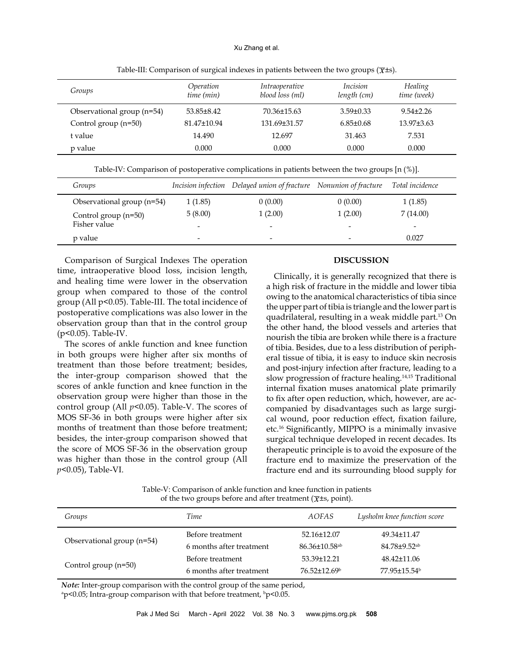#### Xu Zhang et al.

| Groups                     | Operation<br>time (min) | <i>Intraoperative</i><br>blood loss (ml) | <i>Incision</i><br>length (cm) | Healing<br>time (week) |
|----------------------------|-------------------------|------------------------------------------|--------------------------------|------------------------|
| Observational group (n=54) | $53.85 \pm 8.42$        | 70.36±15.63                              | $3.59 \pm 0.33$                | $9.54 \pm 2.26$        |
| Control group $(n=50)$     | 81.47+10.94             | 131.69±31.57                             | $6.85\pm0.68$                  | $13.97\pm3.63$         |
| t value                    | 14.490                  | 12.697                                   | 31.463                         | 7.531                  |
| p value                    | 0.000                   | 0.000                                    | 0.000                          | 0.000                  |

Table-III: Comparison of surgical indexes in patients between the two groups ( $\overline{\chi}$ ±s).

|  |  |  |  |  | Table-IV: Comparison of postoperative complications in patients between the two groups $[n(\%)]$ . |  |  |  |  |  |
|--|--|--|--|--|----------------------------------------------------------------------------------------------------|--|--|--|--|--|
|--|--|--|--|--|----------------------------------------------------------------------------------------------------|--|--|--|--|--|

| Groups                     |                          | Incision infection Delayed union of fracture Nonunion of fracture |         | Total incidence |
|----------------------------|--------------------------|-------------------------------------------------------------------|---------|-----------------|
| Observational group (n=54) | 1(1.85)                  | 0(0.00)                                                           | 0(0.00) | 1(1.85)         |
| Control group $(n=50)$     | 5(8.00)                  | 1(2.00)                                                           | 1(2.00) | 7(14.00)        |
| Fisher value               | $\overline{\phantom{0}}$ | $\overline{\phantom{0}}$                                          |         | -               |
| p value                    | $\overline{\phantom{0}}$ | $\overline{\phantom{0}}$                                          | -       | 0.027           |

Comparison of Surgical Indexes The operation time, intraoperative blood loss, incision length, and healing time were lower in the observation group when compared to those of the control group (All p<0.05). Table-III. The total incidence of postoperative complications was also lower in the observation group than that in the control group (p<0.05). Table-IV.

The scores of ankle function and knee function in both groups were higher after six months of treatment than those before treatment; besides, the inter-group comparison showed that the scores of ankle function and knee function in the observation group were higher than those in the control group (All  $p$ <0.05). Table-V. The scores of MOS SF-36 in both groups were higher after six months of treatment than those before treatment; besides, the inter-group comparison showed that the score of MOS SF-36 in the observation group was higher than those in the control group (All *p*<0.05), Table-VI.

## **DISCUSSION**

Clinically, it is generally recognized that there is a high risk of fracture in the middle and lower tibia owing to the anatomical characteristics of tibia since the upper part of tibia is triangle and the lower part is quadrilateral, resulting in a weak middle part.13 On the other hand, the blood vessels and arteries that nourish the tibia are broken while there is a fracture of tibia. Besides, due to a less distribution of peripheral tissue of tibia, it is easy to induce skin necrosis and post-injury infection after fracture, leading to a slow progression of fracture healing.<sup>14,15</sup> Traditional internal fixation muses anatomical plate primarily to fix after open reduction, which, however, are accompanied by disadvantages such as large surgical wound, poor reduction effect, fixation failure, etc.16 Significantly, MIPPO is a minimally invasive surgical technique developed in recent decades. Its therapeutic principle is to avoid the exposure of the fracture end to maximize the preservation of the fracture end and its surrounding blood supply for

Table-V: Comparison of ankle function and knee function in patients of the two groups before and after treatment ( $\overline{\chi}$ ±s, point).

| Groups                     | Time                     | AOFAS                     | Lysholm knee function score |
|----------------------------|--------------------------|---------------------------|-----------------------------|
|                            | Before treatment         | 52.16±12.07               | 49.34±11.47                 |
| Observational group (n=54) | 6 months after treatment | 86.36±10.58 <sup>ab</sup> | 84.78±9.52 <sup>ab</sup>    |
|                            | Before treatment         | 53.39±12.21               | 48.42±11.06                 |
| Control group $(n=50)$     | 6 months after treatment | $76.52 \pm 12.69^{\circ}$ | 77.95±15.54 <sup>b</sup>    |

*Note:* Inter-group comparison with the control group of the same period,

 $\alpha$ p<0.05; Intra-group comparison with that before treatment,  $\beta$ p<0.05.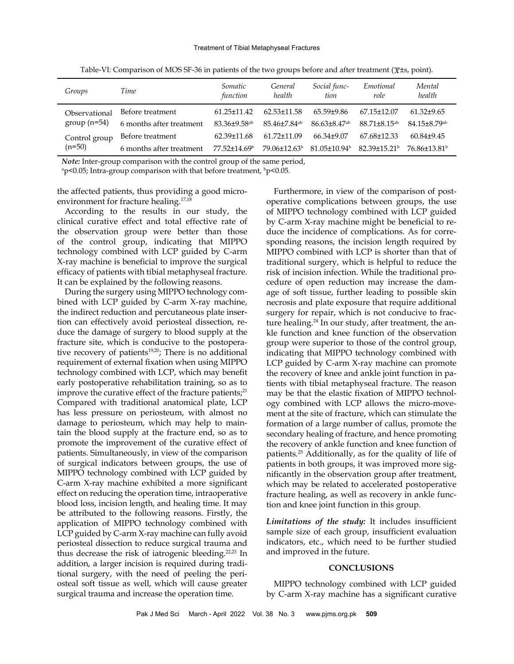| Groups        | Time                     | Somatic<br>function      | General<br>health        | Social func-<br>tion         | Emotional<br>role            | Mental<br>health         |
|---------------|--------------------------|--------------------------|--------------------------|------------------------------|------------------------------|--------------------------|
| Observational | Before treatment         | $61.25 \pm 11.42$        | $62.53 \pm 11.58$        | 65.59+9.86                   | 67.15+12.07                  | $61.32+9.65$             |
| $group(n=54)$ | 6 months after treatment | 83.36+9.58 <sup>ab</sup> | 85.46+7.84 <sup>ab</sup> | $86.63 + 8.47$ <sup>ab</sup> | $88.71 + 8.15^{ab}$          | 84.15+8.79ab             |
| Control group | Before treatment         | 62.39±11.68              | $61.72 + 11.09$          | $66.34\pm9.07$               | 67.68+12.33                  | $60.84\pm9.45$           |
| $(n=50)$      | 6 months after treatment | $77.52 + 14.69$          | 79.06±12.63 <sup>b</sup> | $81.05 + 10.94$              | $82.39 + 15.21$ <sup>b</sup> | 76.86+13.81 <sup>b</sup> |

Table-VI: Comparison of MOS SF-36 in patients of the two groups before and after treatment ( $\overline{\chi}$ ±s, point).

*Note:* Inter-group comparison with the control group of the same period,

 $\alpha$  p<0.05; Intra-group comparison with that before treatment,  $\beta$  p<0.05.

the affected patients, thus providing a good microenvironment for fracture healing.17,18

According to the results in our study, the clinical curative effect and total effective rate of the observation group were better than those of the control group, indicating that MIPPO technology combined with LCP guided by C-arm X-ray machine is beneficial to improve the surgical efficacy of patients with tibial metaphyseal fracture. It can be explained by the following reasons.

During the surgery using MIPPO technology combined with LCP guided by C-arm X-ray machine, the indirect reduction and percutaneous plate insertion can effectively avoid periosteal dissection, reduce the damage of surgery to blood supply at the fracture site, which is conducive to the postoperative recovery of patients<sup>19,20</sup>; There is no additional requirement of external fixation when using MIPPO technology combined with LCP, which may benefit early postoperative rehabilitation training, so as to improve the curative effect of the fracture patients;<sup>21</sup> Compared with traditional anatomical plate, LCP has less pressure on periosteum, with almost no damage to periosteum, which may help to maintain the blood supply at the fracture end, so as to promote the improvement of the curative effect of patients. Simultaneously, in view of the comparison of surgical indicators between groups, the use of MIPPO technology combined with LCP guided by C-arm X-ray machine exhibited a more significant effect on reducing the operation time, intraoperative blood loss, incision length, and healing time. It may be attributed to the following reasons. Firstly, the application of MIPPO technology combined with LCP guided by C-arm X-ray machine can fully avoid periosteal dissection to reduce surgical trauma and thus decrease the risk of iatrogenic bleeding.22,23 In addition, a larger incision is required during traditional surgery, with the need of peeling the periosteal soft tissue as well, which will cause greater surgical trauma and increase the operation time.

Furthermore, in view of the comparison of postoperative complications between groups, the use of MIPPO technology combined with LCP guided by C-arm X-ray machine might be beneficial to reduce the incidence of complications. As for corresponding reasons, the incision length required by MIPPO combined with LCP is shorter than that of traditional surgery, which is helpful to reduce the risk of incision infection. While the traditional procedure of open reduction may increase the damage of soft tissue, further leading to possible skin necrosis and plate exposure that require additional surgery for repair, which is not conducive to fracture healing.<sup>24</sup> In our study, after treatment, the ankle function and knee function of the observation group were superior to those of the control group, indicating that MIPPO technology combined with LCP guided by C-arm X-ray machine can promote the recovery of knee and ankle joint function in patients with tibial metaphyseal fracture. The reason may be that the elastic fixation of MIPPO technology combined with LCP allows the micro-movement at the site of fracture, which can stimulate the formation of a large number of callus, promote the secondary healing of fracture, and hence promoting the recovery of ankle function and knee function of patients.25 Additionally, as for the quality of life of patients in both groups, it was improved more significantly in the observation group after treatment, which may be related to accelerated postoperative fracture healing, as well as recovery in ankle function and knee joint function in this group.

*Limitations of the study:* It includes insufficient sample size of each group, insufficient evaluation indicators, etc., which need to be further studied and improved in the future.

## **CONCLUSIONS**

MIPPO technology combined with LCP guided by C-arm X-ray machine has a significant curative